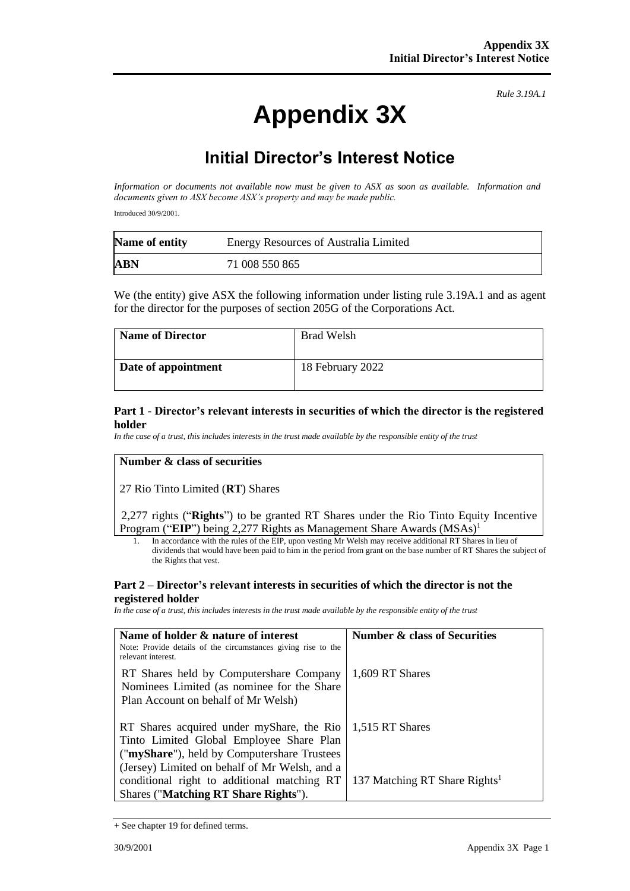# **Appendix 3X**

*Rule 3.19A.1*

# **Initial Director's Interest Notice**

*Information or documents not available now must be given to ASX as soon as available. Information and documents given to ASX become ASX's property and may be made public.*

Introduced 30/9/2001.

| Name of entity | <b>Energy Resources of Australia Limited</b> |
|----------------|----------------------------------------------|
| <b>ABN</b>     | 71 008 550 865                               |

We (the entity) give ASX the following information under listing rule 3.19A.1 and as agent for the director for the purposes of section 205G of the Corporations Act.

| <b>Name of Director</b> | <b>Brad Welsh</b> |
|-------------------------|-------------------|
| Date of appointment     | 18 February 2022  |

#### **Part 1 - Director's relevant interests in securities of which the director is the registered holder**

*In the case of a trust, this includes interests in the trust made available by the responsible entity of the trust*

### **Number & class of securities**

27 Rio Tinto Limited (**RT**) Shares

2,277 rights ("**Rights**") to be granted RT Shares under the Rio Tinto Equity Incentive Program ("EIP") being 2,277 Rights as Management Share Awards (MSAs)<sup>1</sup>

1. In accordance with the rules of the EIP, upon vesting Mr Welsh may receive additional RT Shares in lieu of dividends that would have been paid to him in the period from grant on the base number of RT Shares the subject of the Rights that vest.

#### **Part 2 – Director's relevant interests in securities of which the director is not the registered holder**

*In the case of a trust, this includes interests in the trust made available by the responsible entity of the trust*

| Name of holder & nature of interest<br>Note: Provide details of the circumstances giving rise to the<br>relevant interest.                                                            | <b>Number &amp; class of Securities</b>   |
|---------------------------------------------------------------------------------------------------------------------------------------------------------------------------------------|-------------------------------------------|
| RT Shares held by Computershare Company<br>Nominees Limited (as nominee for the Share<br>Plan Account on behalf of Mr Welsh)                                                          | 1,609 RT Shares                           |
| RT Shares acquired under myShare, the Rio<br>Tinto Limited Global Employee Share Plan<br>("myShare"), held by Computershare Trustees<br>(Jersey) Limited on behalf of Mr Welsh, and a | 1,515 RT Shares                           |
| conditional right to additional matching RT<br>Shares ("Matching RT Share Rights").                                                                                                   | 137 Matching RT Share Rights <sup>1</sup> |

<sup>+</sup> See chapter 19 for defined terms.